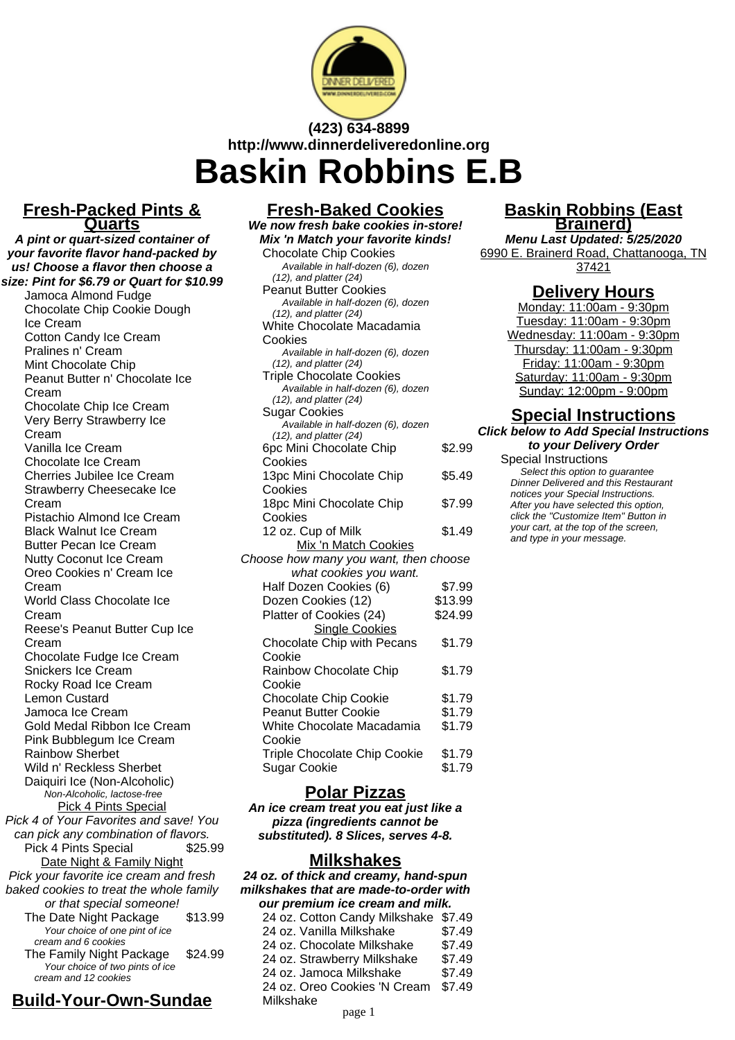

# **(423) 634-8899 http://www.dinnerdeliveredonline.org Baskin Robbins E.B**

## **Fresh-Packed Pints & Quarts**

**A pint or quart-sized container of your favorite flavor hand-packed by us! Choose a flavor then choose a size: Pint for \$6.79 or Quart for \$10.99**

Jamoca Almond Fudge Chocolate Chip Cookie Dough Ice Cream Cotton Candy Ice Cream Pralines n' Cream Mint Chocolate Chip Peanut Butter n' Chocolate Ice Cream Chocolate Chip Ice Cream Very Berry Strawberry Ice Cream Vanilla Ice Cream Chocolate Ice Cream Cherries Jubilee Ice Cream Strawberry Cheesecake Ice Cream Pistachio Almond Ice Cream Black Walnut Ice Cream Butter Pecan Ice Cream Nutty Coconut Ice Cream Oreo Cookies n' Cream Ice Cream World Class Chocolate Ice Cream Reese's Peanut Butter Cup Ice Cream Chocolate Fudge Ice Cream Snickers Ice Cream Rocky Road Ice Cream Lemon Custard Jamoca Ice Cream Gold Medal Ribbon Ice Cream Pink Bubblegum Ice Cream Rainbow Sherbet Wild n' Reckless Sherbet Daiquiri Ice (Non-Alcoholic) Non-Alcoholic, lactose-free Pick 4 Pints Special Pick 4 of Your Favorites and save! You can pick any combination of flavors. Pick 4 Pints Special \$25.99 Date Night & Family Night Pick your favorite ice cream and fresh baked cookies to treat the whole family or that special someone! The Date Night Package \$13.99 Your choice of one pint of ice cream and 6 cookies The Family Night Package \$24.99 Your choice of two pints of ice cream and 12 cookies

# **Build-Your-Own-Sundae**

| <b>Fresh-Baked Cookies</b>                                        |         |  |  |
|-------------------------------------------------------------------|---------|--|--|
| We now fresh bake cookies in-store!                               |         |  |  |
| Mix 'n Match your favorite kinds!                                 |         |  |  |
| <b>Chocolate Chip Cookies</b>                                     |         |  |  |
| Available in half-dozen (6), dozen                                |         |  |  |
| $(12)$ , and platter $(24)$                                       |         |  |  |
| <b>Peanut Butter Cookies</b>                                      |         |  |  |
| Available in half-dozen (6), dozen                                |         |  |  |
| $(12)$ , and platter $(24)$                                       |         |  |  |
| White Chocolate Macadamia                                         |         |  |  |
| Cookies                                                           |         |  |  |
| Available in half-dozen (6), dozen<br>$(12)$ , and platter $(24)$ |         |  |  |
| <b>Triple Chocolate Cookies</b>                                   |         |  |  |
| Available in half-dozen (6), dozen                                |         |  |  |
| $(12)$ , and platter $(24)$                                       |         |  |  |
| Sugar Cookies                                                     |         |  |  |
| Available in half-dozen (6), dozen                                |         |  |  |
| $(12)$ , and platter $(24)$                                       |         |  |  |
| 6pc Mini Chocolate Chip                                           | \$2.99  |  |  |
| Cookies                                                           |         |  |  |
| 13pc Mini Chocolate Chip                                          | \$5.49  |  |  |
| Cookies                                                           |         |  |  |
| 18pc Mini Chocolate Chip                                          | \$7.99  |  |  |
| Cookies                                                           |         |  |  |
| 12 oz. Cup of Milk                                                | \$1.49  |  |  |
| Mix 'n Match Cookies                                              |         |  |  |
| Choose how many you want, then choose                             |         |  |  |
| what cookies you want.                                            |         |  |  |
| Half Dozen Cookies (6)                                            | \$7.99  |  |  |
| Dozen Cookies (12)                                                | \$13.99 |  |  |
| Platter of Cookies (24)                                           | \$24.99 |  |  |
| <b>Single Cookies</b>                                             |         |  |  |
| Chocolate Chip with Pecans                                        | \$1.79  |  |  |
| Cookie                                                            |         |  |  |
| Rainbow Chocolate Chip                                            | \$1.79  |  |  |
| Cookie                                                            |         |  |  |
| Chocolate Chip Cookie                                             | \$1.79  |  |  |
| <b>Peanut Butter Cookie</b>                                       | \$1.79  |  |  |
|                                                                   |         |  |  |
| White Chocolate Macadamia                                         | \$1.79  |  |  |
| Cookie                                                            |         |  |  |
| <b>Triple Chocolate Chip Cookie</b>                               | \$1.79  |  |  |
| Sugar Cookie                                                      | \$1.79  |  |  |

## **Polar Pizzas**

**An ice cream treat you eat just like a pizza (ingredients cannot be substituted). 8 Slices, serves 4-8.**

## **Milkshakes**

**24 oz. of thick and creamy, hand-spun milkshakes that are made-to-order with our premium ice cream and milk.**

| <u>our premium ice cream and min.</u> |        |  |
|---------------------------------------|--------|--|
| 24 oz. Cotton Candy Milkshake \$7.49  |        |  |
| 24 oz. Vanilla Milkshake              | \$7.49 |  |
| 24 oz. Chocolate Milkshake            | \$7.49 |  |
| 24 oz. Strawberry Milkshake           | \$7.49 |  |
| 24 oz. Jamoca Milkshake               | \$7.49 |  |
| 24 oz. Oreo Cookies 'N Cream          | \$7.49 |  |
| Milkshake                             |        |  |
|                                       |        |  |

## **Baskin Robbins (East Brainerd)**

**Menu Last Updated: 5/25/2020** 6990 E. Brainerd Road, Chattanooga, TN 37421

## **Delivery Hours**

Monday: 11:00am - 9:30pm Tuesday: 11:00am - 9:30pm Wednesday: 11:00am - 9:30pm Thursday: 11:00am - 9:30pm Friday: 11:00am - 9:30pm Saturday: 11:00am - 9:30pm Sunday: 12:00pm - 9:00pm

### **Special Instructions Click below to Add Special Instructions**

**to your Delivery Order**

Special Instructions Select this option to quarantee Dinner Delivered and this Restaurant notices your Special Instructions. After you have selected this option, click the "Customize Item" Button in your cart, at the top of the screen, and type in your message.